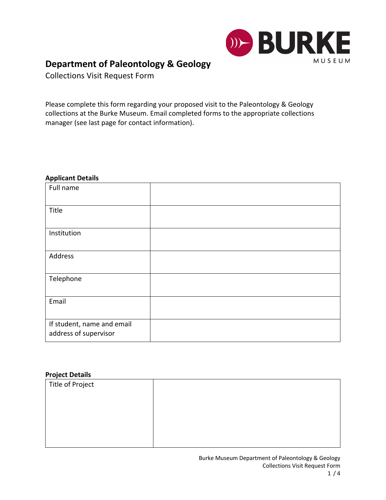

# **Department of Paleontology & Geology**

Collections Visit Request Form

Please complete this form regarding your proposed visit to the Paleontology & Geology collections at the Burke Museum. Email completed forms to the appropriate collections manager (see last page for contact information).

#### **Applicant Details**

| Full name                                           |  |
|-----------------------------------------------------|--|
| Title                                               |  |
| Institution                                         |  |
| Address                                             |  |
| Telephone                                           |  |
| Email                                               |  |
| If student, name and email<br>address of supervisor |  |

#### **Project Details**

| . . <del>.</del> |  |
|------------------|--|
| Title of Project |  |
|                  |  |
|                  |  |
|                  |  |
|                  |  |
|                  |  |
|                  |  |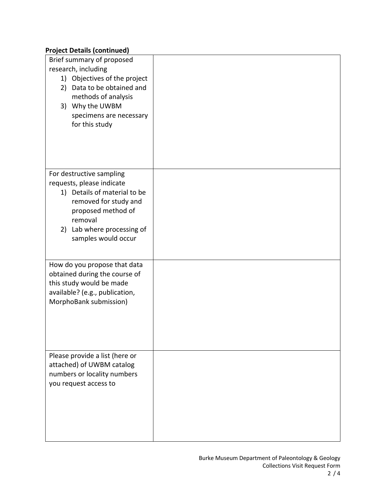## **Project Details (continued)**

| 19<br>Brief summary of proposed<br>research, including<br>1) Objectives of the project<br>Data to be obtained and<br>2)<br>methods of analysis<br>3) Why the UWBM                                    |  |
|------------------------------------------------------------------------------------------------------------------------------------------------------------------------------------------------------|--|
| specimens are necessary<br>for this study                                                                                                                                                            |  |
| For destructive sampling<br>requests, please indicate<br>1) Details of material to be<br>removed for study and<br>proposed method of<br>removal<br>2) Lab where processing of<br>samples would occur |  |
| How do you propose that data<br>obtained during the course of<br>this study would be made<br>available? (e.g., publication,<br>MorphoBank submission)                                                |  |
| Please provide a list (here or<br>attached) of UWBM catalog<br>numbers or locality numbers<br>you request access to                                                                                  |  |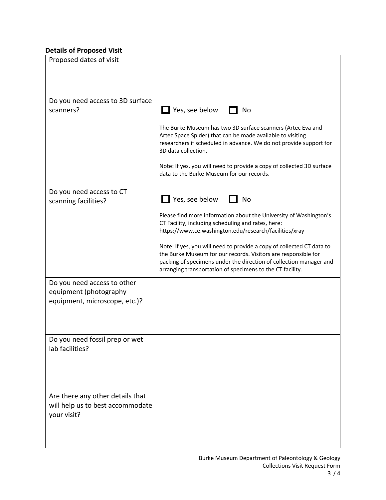## **Details of Proposed Visit**

| Proposed dates of visit                                                                |                                                                                                                                                                                                                                                                                                                                                                                                    |
|----------------------------------------------------------------------------------------|----------------------------------------------------------------------------------------------------------------------------------------------------------------------------------------------------------------------------------------------------------------------------------------------------------------------------------------------------------------------------------------------------|
| Do you need access to 3D surface<br>scanners?                                          | Yes, see below<br>No                                                                                                                                                                                                                                                                                                                                                                               |
|                                                                                        | The Burke Museum has two 3D surface scanners (Artec Eva and<br>Artec Space Spider) that can be made available to visiting<br>researchers if scheduled in advance. We do not provide support for<br>3D data collection.<br>Note: If yes, you will need to provide a copy of collected 3D surface<br>data to the Burke Museum for our records.                                                       |
| Do you need access to CT<br>scanning facilities?                                       | Yes, see below<br>No                                                                                                                                                                                                                                                                                                                                                                               |
|                                                                                        | Please find more information about the University of Washington's<br>CT Facility, including scheduling and rates, here:<br>https://www.ce.washington.edu/research/facilities/xray<br>Note: If yes, you will need to provide a copy of collected CT data to<br>the Burke Museum for our records. Visitors are responsible for<br>packing of specimens under the direction of collection manager and |
|                                                                                        | arranging transportation of specimens to the CT facility.                                                                                                                                                                                                                                                                                                                                          |
| Do you need access to other<br>equipment (photography<br>equipment, microscope, etc.)? |                                                                                                                                                                                                                                                                                                                                                                                                    |
| Do you need fossil prep or wet<br>lab facilities?                                      |                                                                                                                                                                                                                                                                                                                                                                                                    |
| Are there any other details that<br>will help us to best accommodate<br>your visit?    |                                                                                                                                                                                                                                                                                                                                                                                                    |